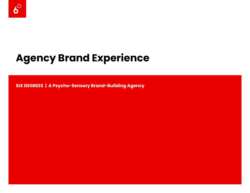

# **Agency Brand Experience**

**SIX DEGREES | A Psycho-Sensory Brand-Building Agency**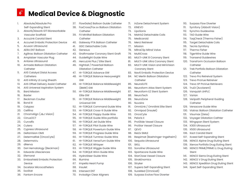#### $\boldsymbol{\delta}^*$ **Medical Device & Diagnostic**

- 1. Absolute/Absolute Pro Self-Expanding Stent
- 2. Absorb/Absorb GT1 Bioresorbable Vascular Scaffold
- 3. AccuLink Carotid Stent
- 4. Accunet Embolic Protection Device
- 5. Acuson Ultrasound
- 6. AERA ENT Balloon
- 7. Agiltrac Balloon Dilatation Catheter
- 8. Amplatzer Vascular Plug
- 9. Antares Ultrasound
- 10. Armada Balloon Dilatation **Catheter**
- 11. AXS Catalyst Distal Access **Catheters**
- 12. AXS Infinity LS Long Sheath
- 13. AXS Offset Delivery Assist Catheter
- 14. AXS Universal Aspiration System
- 15. Bard Mission 16. Baxter
- 17. Beckman Coulter
- 18. Bond III
- 19. Calypso
- 20. Cellfina
- 21. ChromAlign (J&J Vision)
- 22. CirrusOCT
- 23. Curvafix
- 24. Cutera
- 25. Cypress Ultrasound
- 26. DeltaVision OMX
- 27. DetermaRisk (OncoCyte)
- 28. DetermaVu
- 29. dNerva
- 30. DxH Hematology (Beckman)
- 31. Edwards Lifesciences
- 32. Efemoral
- 33. Emboshield Embolic Protection **Device**
- 34. Excelsior Microcatheters
- 35. ExoStat
- 36. Fantom Encore
- 37. FlowGate2 Balloon Guide Catheter
- 38. FoxCross/Fox sv Balloon Dilatation
- **Catheter** 39. FX MiniRail Balloon Dilatation
- **Catheter**
- 40. Gateway PTA Balloon Catheter
- 41. GDC Detachable Coils
- 42. Genexus
- 43. Graftmaster Coronary Stent Graft
- 44. GuideRight Guide Wire
- 45. HercuLink Plus / Elite Stent
- 46. HighSail / PowerSail Balloon Dilatation Catheter
- 47. HI-TORQUE Advance GW
- 48. HI-TORQUE Balance Heavyweight GW
- 49. HI-TORQUE Balance Middleweight (BMW) GW
- 50. HI-TORQUE Balance Middleweight Elite GW
- 51. HI-TORQUE Balance Middleweight Universal GW
- 52. HI-TORQUE Command Guide Wire
- 53. HI-TORQUE Cross-It Guide Wire
- 54. HI-TORQUE Floppy Guide Wire
- 55. HI-TORQUE Guide Wire portfolio
- 56. HI-TORQUE Jet Guide Wire
- 57. HI-TORQUE Pilot Guide Wire
- 58. HI-TORQUE Powerturn Guide Wire
- 59. HI-TORQUE Progress Guide Wire
- 60. HI-TORQUE Turntrac Guide Wire
- 61. HI-TORQUE VersaTurn Guide Wire
- 62. HI-TORQUE Whisper
- 63. HI-TORQUE Wiggle Guide Wire
- 64. HI-TORQUE Winn Guide Wire
- 65. HydroSteer Guide Wire
- 66. Illumina
- 67. Impella Heart Pump
- 68. Insulet
- 69. Intersect ENT
- 70. Invisalign Clear Aligners

71. InZone Detachment System

110. Surpass Flow Diverter 111. Symfony (Abbott Vision) 112. Synchro Guidewires 113. TAD Guide Wire

116. Tecnis Symfony 117. Thermo Fisher 118. TigerWire Guide Wire 119. Transend Guidewires 120. TransForm Occlusion Balloon

**Catheter** 

**Catheter** 

125. TruDi (Acclarent) 126. Vanquish UHPLC

**Catheter** 129. Versacore Guide Wire

131. Visumax (Zeiss)

Stent

127. Varian

114. TaqCheck (Thermo Fisher) 115. Target Detachable Coils

121. Trek Portfolio Balloon Dilatation

122. Trevo Pro Retreival System 123. Trevo ProVue Retreiver 124. Trevo XP ProVue Retrievers

128. Veripath Peripheral Guiding

132. Voyager Dilatation Cathter 133. Wingspan Stent System 134. X300 Ultrasound 135. X500 Ultrasound 136. Xact Carotid Stent

137. Xceed Self-Expanding Stent 138. XIENCE Alpine Drug Eluting Stent 139. Xience Portfolio Drug Eluting Stent 140. XIENCE PRIME/PRIME LL Drug Eluting

141. XIENCE Sierra Drug Eluting Stent 142. XIENCE V Drug Eluting Stent

143. XIENCE Xpedition Drug Eluting Stent 144. Xpert Self-Expanding Stent

130. Viatrac Balloon Dilatation Catheter

- 72. KINEVO
- 73. LipoSonix
- 74. Matrix2 Detachable Coils
- 75. Medicaroid
- 76. Merci Retriever
- 77. Mission
- 78. MitraClip Mitral Valve
- 79. MultiCross
- 80. MULTI-LINK 8 Coronary Stent
- 81. MULTI-LINK Ultra Coronary Stent
- 82. MULTI-LINK Vision and MiniVision Coronary Stent
- 83. Nav6 Embolic Protection Device
- 84. NC Merlin Balloon Dilatation
- **Catheter** 85. NeuroELITE
- 86. Neuroform Atlas Stent System
- 87. Neuroform EZ Stent System
- 88. NeuroTech
- 89. NeuroZone
- 90. Nuvaira
- 91. OmniLink / Omnilink Elite Stent
- 92. Omnipod (Insulet)
- 93. OncoCyte
- 94. Peloris II
- 95. ProGlide Vessel Closure
- 96. ProStar Vessel Closure

100. Sequoia Ultrasound

102. Sonoline Ultrasound 103. Spartacore Guide Wire 104. StarClose Vessel Closure

108. SureMed (Omnicell)

97. QEVO

101. SKILL

98. ReLEx SMILE

105. StrokEnomics 106. Stryker

99. Respimat (Boehringer-Ingelheim)

107. Supera Self-Expanding Stent

109. Surpass Evolve Flow Diverter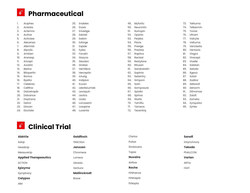### Pharmaceutical

| Ι.  | Aciphex       | 25. | Enablex      | 49. | Myfortic    | 73. | Tekturna  |
|-----|---------------|-----|--------------|-----|-------------|-----|-----------|
| 2.  | Aclasta       | 26. | Eraxis       | 50. | Neurontin   | 74. | Telbermin |
| 3.  | Actemra       | 27. | Erivedge     | 51. | Nutropin    | 75. | Toviaz    |
| 4.  | Acthar        | 28. | Esbriet      | 52. | Opsiria     | 76. | Ultram    |
| 5.  | Activase      | 29. | Exelon       | 53. | Perjeta     | 77. | Valcyte   |
| 6.  | Alecensa      | 30. | Exforge      | 54. | Plavix      | 78. | Valturna  |
| 7.  | Allermist     | 31. | Exjade       | 55. | Prexige     | 79. | Venclexta |
| 8.  | Alprolix      | 32. | Eylea        | 56. | Prezista    | 80. | Ventavis  |
| 9.  | Ambien        | 33. | Focalin      | 57. | Raptiva     | 81. | Viagra    |
| 10. | Aranesp       | 34. | Gazyva       | 58. | Reclast     | 82. | Viracept  |
| 11. | Aricept       | 35. | Geodon       | 59. | Restylane   | 83. | Vivelle   |
| 12. | Avastin       | 36. | Gralise      | 60. | Rituxan     | 84. | Xalatan   |
| 13. | <b>Bextra</b> | 37. | Hemlibra     | 61. | Sandostatin | 85. | Xeloda    |
| 14. | Bitopertin    | 38. | Herceptin    | 62. | Saphris     | 86. | Xgeva     |
| 15. | <b>Boniva</b> | 39. | Iclusig      | 63. | Selzentry   | 87. | Xolair    |
| 16. | <b>Byetta</b> | 40. | Indiplon     | 64. | Simponi     | 88. | Zaditor   |
| 17. | Celebrex      | 41. | Kuvan        | 65. | Solin       | 89. | Zelboraf  |
| 18. | Cellfina      | 42. | Lebrikizumab | 66. | Somposure   | 90. | Zelnorm   |
| 19. | Dalcetrapib   | 43. | Levaquin     | 67. | Spiolto     | 91. | Zithromax |
| 20. | Dalvance      | 44. | Levitra      | 68. | Spiriva     | 92. | Zoloft    |
| 21. | Daytrana      | 45. | Livalo       | 69. | Starlix     | 93. | Zometa    |
| 22. | Detrol        | 46. | Lorcaserin   | 70. | Tamiflu     | 94. | Zynquista |
| 23. | Diovan        | 47. | Loxapine     | 71. | Tarceva     | 95. | Zyrtec    |
| 24. | Eloctate      | 48. | Lucentis     | 72. | Tecentria   |     |           |

## Clinical Trial

| <b>AbbVie</b>                | <b>Goldfinch</b>    | Clarios        | Sanofi        |
|------------------------------|---------------------|----------------|---------------|
| AdUp                         | <b>TRACtion</b>     | Pulsar         | inSynchrony   |
| HeadsUp                      | <b>Janssen</b>      | Stratavera     | <b>Takeda</b> |
| MeasureUp                    | Chromeos            | Topaz          | PhALLCON      |
| <b>Applied Therapeautics</b> | Lumeos              | <b>Nuvaira</b> | Varian        |
| <b>ACTION</b>                | Librexia            | Airflow        | ARTia         |
| <b>Epizyme</b>               | Ventura             | Roche          | <b>FAST</b>   |
| Symphony                     | <b>Mallinckrodt</b> | FENhance       |               |
| <b>Calypso</b>               | <b>Brave</b>        | FENtrepid      |               |
| <b>AIM</b>                   |                     | FENopta        |               |